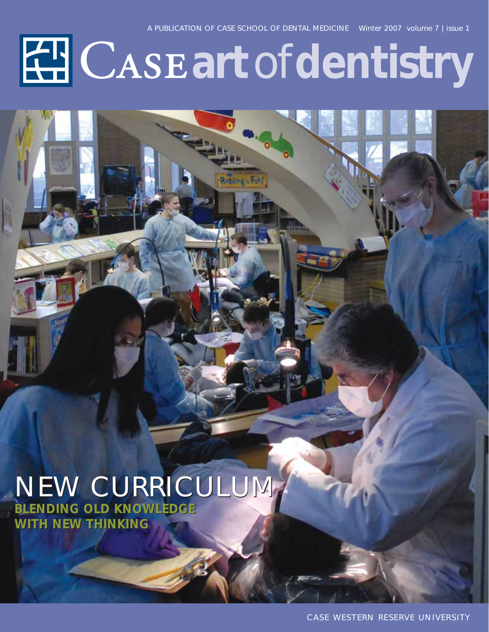# **EE CASE art of dentistry**

### NEW CURRICULUM NEW CURRICULUM

**BLENDING OLD KNOWLEDGE WITH NEW THINKING WITH NEW THINKINGBLENDING OLD KNOWLEDGE**

CASE WESTERN RESERVE UNIVERSITY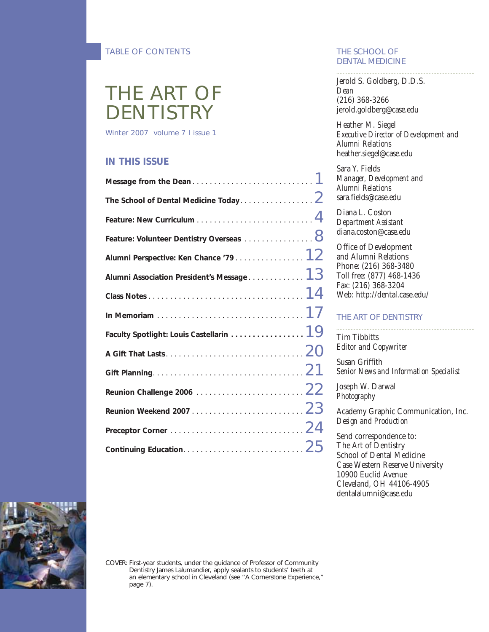#### TABLE OF CONTENTS

### THE ART OF **DENTISTRY**

Winter 2007 volume 7 I issue 1

#### **IN THIS ISSUE**

| The School of Dental Medicine Today $\dots\dots\dots\dots\dots\,.$                           |  |
|----------------------------------------------------------------------------------------------|--|
|                                                                                              |  |
| Feature: Volunteer Dentistry Overseas $\,\ldots\ldots\ldots\ldots\, 8$                       |  |
| Alumni Perspective: Ken Chance '79 $\dots\dots\dots\dots\dots$ $12$                          |  |
| Alumni Association President's Message 1 $3\,$                                               |  |
|                                                                                              |  |
| In Memoriam $\ldots \ldots \ldots \ldots \ldots \ldots \ldots \ldots \ldots \ldots \cdot 17$ |  |
| Faculty Spotlight: Louis Castellarin $\,\ldots\ldots\ldots\ldots\, 19$                       |  |
|                                                                                              |  |
|                                                                                              |  |
| Reunion Challenge 2006 $\dots\dots\dots\dots\dots\dots\dots\ 22$                             |  |
|                                                                                              |  |
|                                                                                              |  |
|                                                                                              |  |
|                                                                                              |  |

#### THE SCHOOL OF DENTAL MEDICINE

Jerold S. Goldberg, D.D.S. *Dean* (216) 368-3266 jerold.goldberg@case.edu

Heather M. Siegel *Executive Director of Development and Alumni Relations* heather.siegel@case.edu

Sara Y. Fields *Manager, Development and Alumni Relations* sara.fields@case.edu

Diana L. Coston *Department Assistant* diana.coston@case.edu

Office of Development and Alumni Relations Phone: (216) 368-3480 Toll free: (877) 468-1436 Fax: (216) 368-3204 Web: http://dental.case.edu/

#### THE ART OF DENTISTRY

Tim Tibbitts *Editor and Copywriter*

Susan Griffith *Senior News and Information Specialist*

Joseph W. Darwal *Photography*

Academy Graphic Communication, Inc. *Design and Production*

Send correspondence to: The Art of Dentistry School of Dental Medicine Case Western Reserve University 10900 Euclid Avenue Cleveland, OH 44106-4905 dentalalumni@case.edu



COVER: First-year students, under the guidance of Professor of Community Dentistry James Lalumandier, apply sealants to students' teeth at an elementary school in Cleveland (see "A Cornerstone Experience," page 7).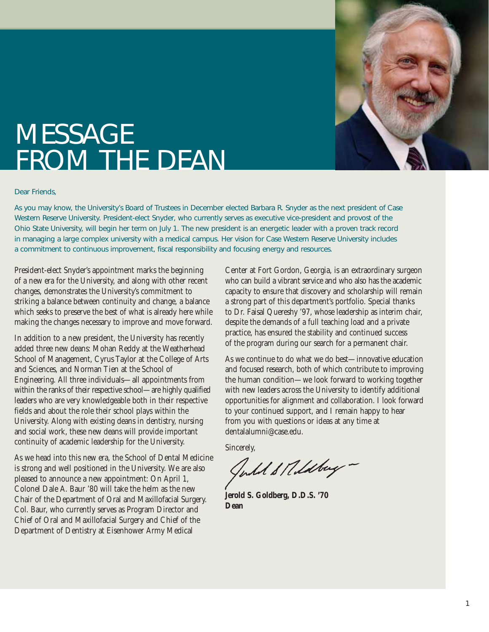

### **MESSAGE** FROM THE DEAN

#### Dear Friends,

As you may know, the University's Board of Trustees in December elected Barbara R. Snyder as the next president of Case Western Reserve University. President-elect Snyder, who currently serves as executive vice-president and provost of the Ohio State University, will begin her term on July 1. The new president is an energetic leader with a proven track record in managing a large complex university with a medical campus. Her vision for Case Western Reserve University includes a commitment to continuous improvement, fiscal responsibility and focusing energy and resources.

President-elect Snyder's appointment marks the beginning of a new era for the University, and along with other recent changes, demonstrates the University's commitment to striking a balance between continuity and change, a balance which seeks to preserve the best of what is already here while making the changes necessary to improve and move forward.

In addition to a new president, the University has recently added three new deans: Mohan Reddy at the Weatherhead School of Management, Cyrus Taylor at the College of Arts and Sciences, and Norman Tien at the School of Engineering. All three individuals—all appointments from within the ranks of their respective school—are highly qualified leaders who are very knowledgeable both in their respective fields and about the role their school plays within the University. Along with existing deans in dentistry, nursing and social work, these new deans will provide important continuity of academic leadership for the University.

As we head into this new era, the School of Dental Medicine is strong and well positioned in the University. We are also pleased to announce a new appointment: On April 1, Colonel Dale A. Baur '80 will take the helm as the new Chair of the Department of Oral and Maxillofacial Surgery. Col. Baur, who currently serves as Program Director and Chief of Oral and Maxillofacial Surgery and Chief of the Department of Dentistry at Eisenhower Army Medical

Center at Fort Gordon, Georgia, is an extraordinary surgeon who can build a vibrant service and who also has the academic capacity to ensure that discovery and scholarship will remain a strong part of this department's portfolio. Special thanks to Dr. Faisal Quereshy '97, whose leadership as interim chair, despite the demands of a full teaching load and a private practice, has ensured the stability and continued success of the program during our search for a permanent chair.

As we continue to do what we do best—innovative education and focused research, both of which contribute to improving the human condition—we look forward to working together with new leaders across the University to identify additional opportunities for alignment and collaboration. I look forward to your continued support, and I remain happy to hear from you with questions or ideas at any time at dentalalumni@case.edu.

Sincerely,

Julil & Rildbuy -

**Jerold S. Goldberg, D.D.S. '70 Dean**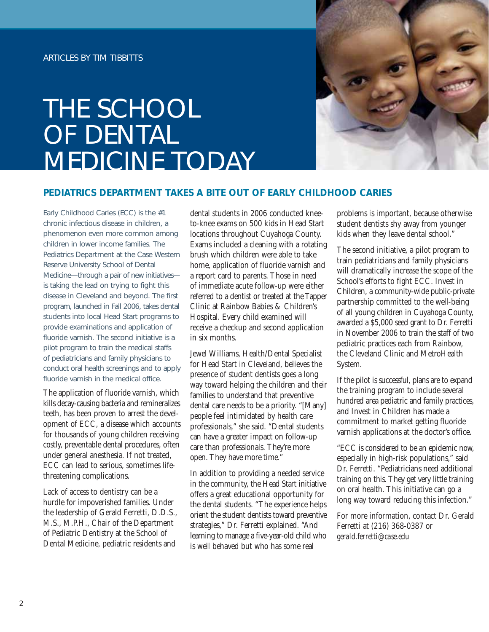### THE SCHOOL OF DENTAL MEDICINE TODAY



#### **PEDIATRICS DEPARTMENT TAKES A BITE OUT OF EARLY CHILDHOOD CARIES**

Early Childhood Caries (ECC) is the #1 chronic infectious disease in children, a phenomenon even more common among children in lower income families. The Pediatrics Department at the Case Western Reserve University School of Dental Medicine—through a pair of new initiatives is taking the lead on trying to fight this disease in Cleveland and beyond. The first program, launched in Fall 2006, takes dental students into local Head Start programs to provide examinations and application of fluoride varnish. The second initiative is a pilot program to train the medical staffs of pediatricians and family physicians to conduct oral health screenings and to apply fluoride varnish in the medical office.

The application of fluoride varnish, which kills decay-causing bacteria and remineralizes teeth, has been proven to arrest the development of ECC, a disease which accounts for thousands of young children receiving costly, preventable dental procedures, often under general anesthesia. If not treated, ECC can lead to serious, sometimes lifethreatening complications.

Lack of access to dentistry can be a hurdle for impoverished families. Under the leadership of Gerald Ferretti, D.D.S., M.S., M.P.H., Chair of the Department of Pediatric Dentistry at the School of Dental Medicine, pediatric residents and

dental students in 2006 conducted kneeto-knee exams on 500 kids in Head Start locations throughout Cuyahoga County. Exams included a cleaning with a rotating brush which children were able to take home, application of fluoride varnish and a report card to parents. Those in need of immediate acute follow-up were either referred to a dentist or treated at the Tapper Clinic at Rainbow Babies & Children's Hospital. Every child examined will receive a checkup and second application in six months.

Jewel Williams, Health/Dental Specialist for Head Start in Cleveland, believes the presence of student dentists goes a long way toward helping the children and their families to understand that preventive dental care needs to be a priority. "[Many] people feel intimidated by health care professionals," she said. "Dental students can have a greater impact on follow-up care than professionals. They're more open. They have more time."

In addition to providing a needed service in the community, the Head Start initiative offers a great educational opportunity for the dental students. "The experience helps orient the student dentists toward preventive strategies," Dr. Ferretti explained. "And learning to manage a five-year-old child who is well behaved but who has some real

problems is important, because otherwise student dentists shy away from younger kids when they leave dental school."

The second initiative, a pilot program to train pediatricians and family physicians will dramatically increase the scope of the School's efforts to fight ECC. Invest in Children, a community-wide public-private partnership committed to the well-being of all young children in Cuyahoga County, awarded a \$5,000 seed grant to Dr. Ferretti in November 2006 to train the staff of two pediatric practices each from Rainbow, the Cleveland Clinic and MetroHealth System.

If the pilot is successful, plans are to expand the training program to include several hundred area pediatric and family practices, and Invest in Children has made a commitment to market getting fluoride varnish applications at the doctor's office.

"ECC is considered to be an epidemic now, especially in high-risk populations," said Dr. Ferretti. "Pediatricians need additional training on this. They get very little training on oral health. This initiative can go a long way toward reducing this infection."

For more information, contact Dr. Gerald Ferretti at (216) 368-0387 or *gerald.ferretti@case.edu*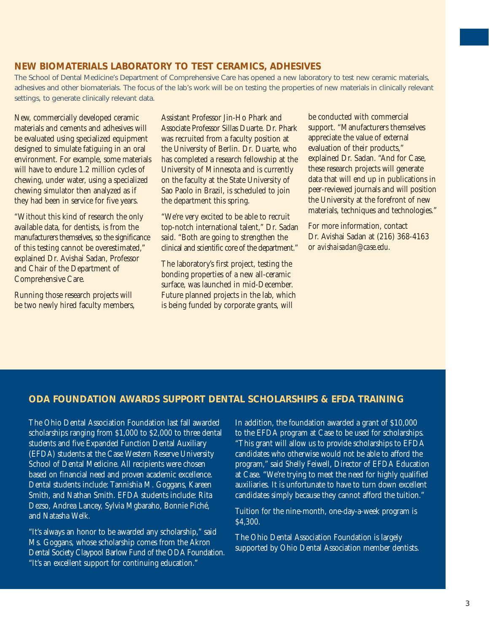#### **NEW BIOMATERIALS LABORATORY TO TEST CERAMICS, ADHESIVES**

The School of Dental Medicine's Department of Comprehensive Care has opened a new laboratory to test new ceramic materials, adhesives and other biomaterials. The focus of the lab's work will be on testing the properties of new materials in clinically relevant settings, to generate clinically relevant data.

New, commercially developed ceramic materials and cements and adhesives will be evaluated using specialized equipment designed to simulate fatiguing in an oral environment. For example, some materials will have to endure 1.2 million cycles of chewing, under water, using a specialized chewing simulator then analyzed as if they had been in service for five years.

"Without this kind of research the only available data, for dentists, is from the manufacturers themselves, so the significance of this testing cannot be overestimated," explained Dr. Avishai Sadan, Professor and Chair of the Department of Comprehensive Care.

Running those research projects will be two newly hired faculty members, Assistant Professor Jin-Ho Phark and Associate Professor Sillas Duarte. Dr. Phark was recruited from a faculty position at the University of Berlin. Dr. Duarte, who has completed a research fellowship at the University of Minnesota and is currently on the faculty at the State University of Sao Paolo in Brazil, is scheduled to join the department this spring.

"We're very excited to be able to recruit top-notch international talent," Dr. Sadan said. "Both are going to strengthen the clinical and scientific core of the department."

The laboratory's first project, testing the bonding properties of a new all-ceramic surface, was launched in mid-December. Future planned projects in the lab, which is being funded by corporate grants, will

be conducted with commercial support. "Manufacturers themselves appreciate the value of external evaluation of their products," explained Dr. Sadan. "And for Case, these research projects will generate data that will end up in publications in peer-reviewed journals and will position the University at the forefront of new materials, techniques and technologies."

For more information, contact Dr. Avishai Sadan at (216) 368-4163 or *avishaisadan@case.edu.*

#### **ODA FOUNDATION AWARDS SUPPORT DENTAL SCHOLARSHIPS & EFDA TRAINING**

The Ohio Dental Association Foundation last fall awarded scholarships ranging from \$1,000 to \$2,000 to three dental students and five Expanded Function Dental Auxiliary (EFDA) students at the Case Western Reserve University School of Dental Medicine. All recipients were chosen based on financial need and proven academic excellence. Dental students include: Tannishia M. Goggans, Kareen Smith, and Nathan Smith. EFDA students include: Rita Dezso, Andrea Lancey, Sylvia Mgbaraho, Bonnie Piché, and Natasha Welk.

"It's always an honor to be awarded any scholarship," said Ms. Goggans, whose scholarship comes from the Akron Dental Society Claypool Barlow Fund of the ODA Foundation. "It's an excellent support for continuing education."

In addition, the foundation awarded a grant of \$10,000 to the EFDA program at Case to be used for scholarships. "This grant will allow us to provide scholarships to EFDA candidates who otherwise would not be able to afford the program," said Shelly Feiwell, Director of EFDA Education at Case. "We're trying to meet the need for highly qualified auxiliaries. It is unfortunate to have to turn down excellent candidates simply because they cannot afford the tuition."

Tuition for the nine-month, one-day-a-week program is \$4,300.

The Ohio Dental Association Foundation is largely supported by Ohio Dental Association member dentists.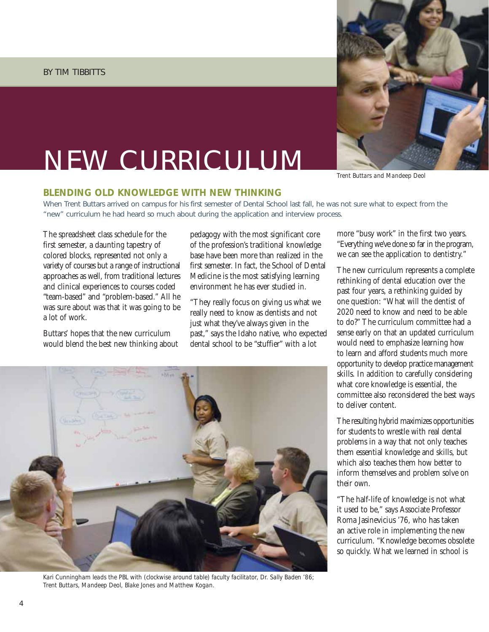#### BY TIM TIBBITTS

### NEW CURRICULUM



*Trent Buttars and Mandeep Deol*

#### **BLENDING OLD KNOWLEDGE WITH NEW THINKING**

When Trent Buttars arrived on campus for his first semester of Dental School last fall, he was not sure what to expect from the "new" curriculum he had heard so much about during the application and interview process.

The spreadsheet class schedule for the first semester, a daunting tapestry of colored blocks, represented not only a variety of courses but a range of instructional approaches as well, from traditional lectures and clinical experiences to courses coded "team-based" and "problem-based." All he was sure about was that it was going to be a lot of work.

Buttars' hopes that the new curriculum would blend the best new thinking about pedagogy with the most significant core of the profession's traditional knowledge base have been more than realized in the first semester. In fact, the School of Dental Medicine is the most satisfying learning environment he has ever studied in.

"They really focus on giving us what we really need to know as dentists and not just what they've always given in the past," says the Idaho native, who expected dental school to be "stuffier" with a lot



*Kari Cunningham leads the PBL with (clockwise around table) faculty facilitator, Dr. Sally Baden '86; Trent Buttars, Mandeep Deol, Blake Jones and Matthew Kogan.*

more "busy work" in the first two years. "Everything we've done so far in the program, we can see the application to dentistry."

The new curriculum represents a complete rethinking of dental education over the past four years, a rethinking guided by one question: "What will the dentist of 2020 need to know and need to be able to do?" The curriculum committee had a sense early on that an updated curriculum would need to emphasize learning how to learn and afford students much more opportunity to develop practice management skills. In addition to carefully considering what core knowledge is essential, the committee also reconsidered the best ways to deliver content.

The resulting hybrid maximizes opportunities for students to wrestle with real dental problems in a way that not only teaches them essential knowledge and skills, but which also teaches them how better to inform themselves and problem solve on their own.

"The half-life of knowledge is not what it used to be," says Associate Professor Roma Jasinevicius '76, who has taken an active role in implementing the new curriculum. "Knowledge becomes obsolete so quickly. What we learned in school is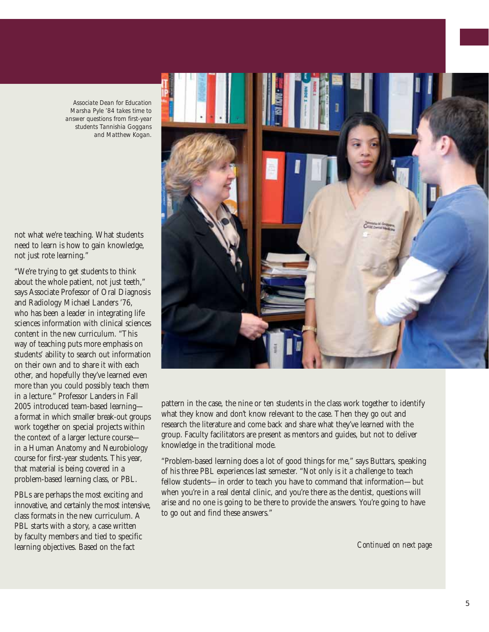*Associate Dean for Education Marsha Pyle '84 takes time to answer questions from first-year students Tannishia Goggans and Matthew Kogan.*

not what we're teaching. What students need to learn is how to gain knowledge, not just rote learning."

"We're trying to get students to think about the whole patient, not just teeth," says Associate Professor of Oral Diagnosis and Radiology Michael Landers '76, who has been a leader in integrating life sciences information with clinical sciences content in the new curriculum. "This way of teaching puts more emphasis on students' ability to search out information on their own and to share it with each other, and hopefully they've learned even more than you could possibly teach them in a lecture." Professor Landers in Fall 2005 introduced team-based learning a format in which smaller break-out groups work together on special projects within the context of a larger lecture course in a Human Anatomy and Neurobiology course for first-year students. This year, that material is being covered in a problem-based learning class, or PBL.

PBLs are perhaps the most exciting and innovative, and certainly the most intensive, class formats in the new curriculum. A PBL starts with a story, a case written by faculty members and tied to specific learning objectives. Based on the fact



pattern in the case, the nine or ten students in the class work together to identify what they know and don't know relevant to the case. Then they go out and research the literature and come back and share what they've learned with the group. Faculty facilitators are present as mentors and guides, but not to deliver knowledge in the traditional mode.

"Problem-based learning does a lot of good things for me," says Buttars, speaking of his three PBL experiences last semester. "Not only is it a challenge to teach fellow students—in order to teach you have to command that information—but when you're in a real dental clinic, and you're there as the dentist, questions will arise and no one is going to be there to provide the answers. You're going to have to go out and find these answers."

*Continued on next page*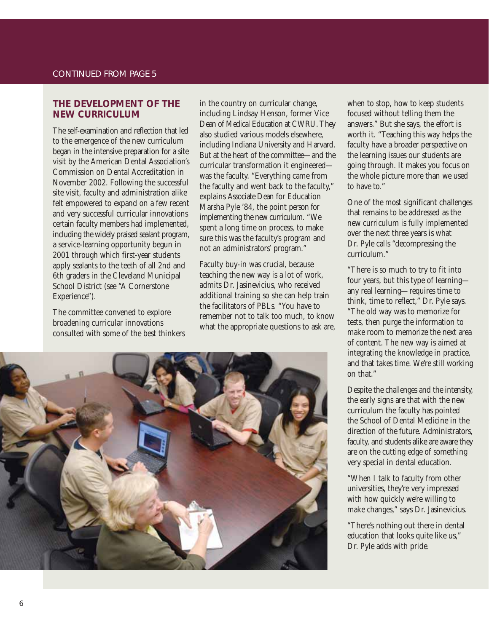#### **THE DEVELOPMENT OF THE NEW CURRICULUM**

The self-examination and reflection that led to the emergence of the new curriculum began in the intensive preparation for a site visit by the American Dental Association's Commission on Dental Accreditation in November 2002. Following the successful site visit, faculty and administration alike felt empowered to expand on a few recent and very successful curricular innovations certain faculty members had implemented, including the widely praised sealant program, a service-learning opportunity begun in 2001 through which first-year students apply sealants to the teeth of all 2nd and 6th graders in the Cleveland Municipal School District (see "A Cornerstone Experience").

The committee convened to explore broadening curricular innovations consulted with some of the best thinkers in the country on curricular change, including Lindsay Henson, former Vice Dean of Medical Education at CWRU. They also studied various models elsewhere, including Indiana University and Harvard. But at the heart of the committee—and the curricular transformation it engineered was the faculty. "Everything came from the faculty and went back to the faculty," explains Associate Dean for Education Marsha Pyle '84, the point person for implementing the new curriculum. "We spent a long time on process, to make sure this was the faculty's program and not an administrators' program."

Faculty buy-in was crucial, because teaching the new way is a lot of work, admits Dr. Jasinevicius, who received additional training so she can help train the facilitators of PBLs. "You have to remember not to talk too much, to know what the appropriate questions to ask are,



when to stop, how to keep students focused without telling them the answers." But she says, the effort is worth it. "Teaching this way helps the faculty have a broader perspective on the learning issues our students are going through. It makes you focus on the whole picture more than we used to have to."

One of the most significant challenges that remains to be addressed as the new curriculum is fully implemented over the next three years is what Dr. Pyle calls "decompressing the curriculum."

"There is so much to try to fit into four years, but this type of learning any real learning—requires time to think, time to reflect," Dr. Pyle says. "The old way was to memorize for tests, then purge the information to make room to memorize the next area of content. The new way is aimed at integrating the knowledge in practice, and that takes time. We're still working on that."

Despite the challenges and the intensity, the early signs are that with the new curriculum the faculty has pointed the School of Dental Medicine in the direction of the future. Administrators, faculty, and students alike are aware they are on the cutting edge of something very special in dental education.

"When I talk to faculty from other universities, they're very impressed with how quickly we're willing to make changes," says Dr. Jasinevicius.

"There's nothing out there in dental education that looks quite like us," Dr. Pyle adds with pride.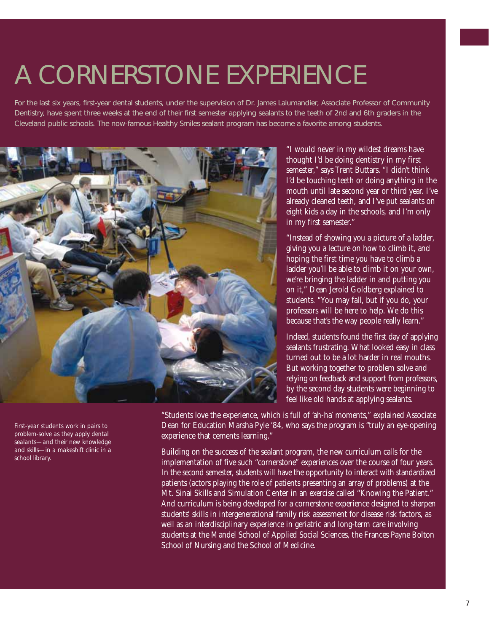### A CORNERSTONE EXPERIENCE

For the last six years, first-year dental students, under the supervision of Dr. James Lalumandier, Associate Professor of Community Dentistry, have spent three weeks at the end of their first semester applying sealants to the teeth of 2nd and 6th graders in the Cleveland public schools. The now-famous Healthy Smiles sealant program has become a favorite among students.



*First-year students work in pairs to problem-solve as they apply dental sealants—and their new knowledge and skills—in a makeshift clinic in a school library.*

"I would never in my wildest dreams have thought I'd be doing dentistry in my first semester," says Trent Buttars. "I didn't think I'd be touching teeth or doing anything in the mouth until late second year or third year. I've already cleaned teeth, and I've put sealants on eight kids a day in the schools, and I'm only in my first semester."

"Instead of showing you a picture of a ladder, giving you a lecture on how to climb it, and hoping the first time you have to climb a ladder you'll be able to climb it on your own, we're bringing the ladder in and putting you on it," Dean Jerold Goldberg explained to students. "You may fall, but if you do, your professors will be here to help. We do this because that's the way people really learn."

Indeed, students found the first day of applying sealants frustrating. What looked easy in class turned out to be a lot harder in real mouths. But working together to problem solve and relying on feedback and support from professors, by the second day students were beginning to feel like old hands at applying sealants.

"Students love the experience, which is full of 'ah-ha' moments," explained Associate Dean for Education Marsha Pyle '84, who says the program is "truly an eye-opening experience that cements learning."

Building on the success of the sealant program, the new curriculum calls for the implementation of five such "cornerstone" experiences over the course of four years. In the second semester, students will have the opportunity to interact with standardized patients (actors playing the role of patients presenting an array of problems) at the Mt. Sinai Skills and Simulation Center in an exercise called "Knowing the Patient." And curriculum is being developed for a cornerstone experience designed to sharpen students' skills in intergenerational family risk assessment for disease risk factors, as well as an interdisciplinary experience in geriatric and long-term care involving students at the Mandel School of Applied Social Sciences, the Frances Payne Bolton School of Nursing and the School of Medicine.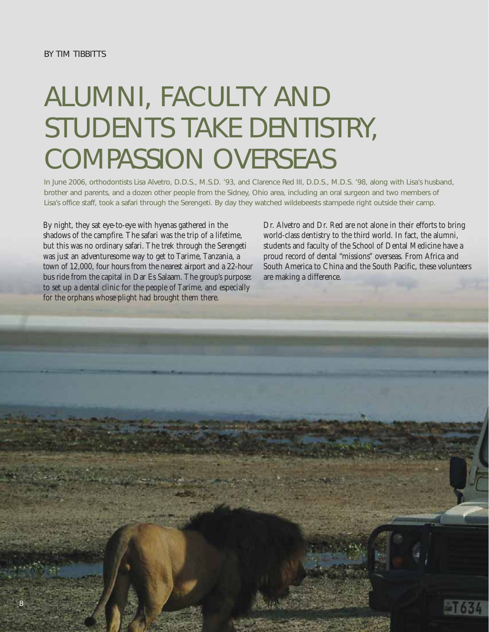# ALUMNI, FACULTY AND STUDENTS TAKE DENTISTRY, COMPASSION OVERSEAS

In June 2006, orthodontists Lisa Alvetro, D.D.S., M.S.D. '93, and Clarence Red III, D.D.S., M.D.S. '98, along with Lisa's husband, brother and parents, and a dozen other people from the Sidney, Ohio area, including an oral surgeon and two members of Lisa's office staff, took a safari through the Serengeti. By day they watched wildebeests stampede right outside their camp.

By night, they sat eye-to-eye with hyenas gathered in the shadows of the campfire. The safari was the trip of a lifetime, but this was no ordinary safari. The trek through the Serengeti was just an adventuresome way to get to Tarime, Tanzania, a town of 12,000, four hours from the nearest airport and a 22-hour bus ride from the capital in Dar Es Salaam. The group's purpose: to set up a dental clinic for the people of Tarime, and especially for the orphans whose plight had brought them there.

Dr. Alvetro and Dr. Red are not alone in their efforts to bring world-class dentistry to the third world. In fact, the alumni, students and faculty of the School of Dental Medicine have a proud record of dental "missions" overseas. From Africa and South America to China and the South Pacific, these volunteers are making a difference.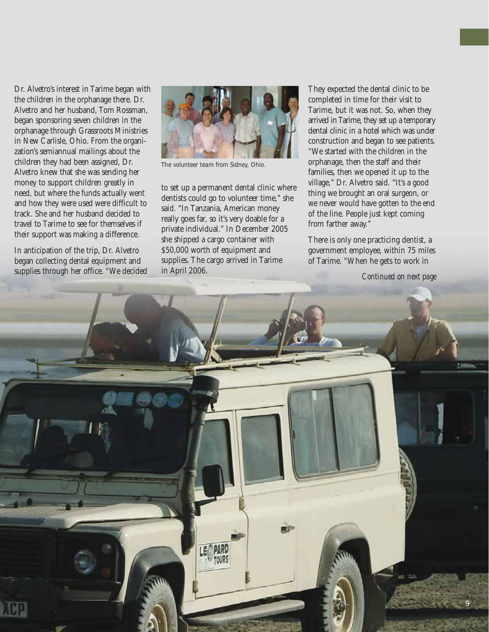Dr. Alvetro's interest in Tarime began with the children in the orphanage there. Dr. Alvetro and her husband, Tom Rossman, began sponsoring seven children in the orphanage through Grassroots Ministries in New Carlisle, Ohio. From the organization's semiannual mailings about the children they had been assigned, Dr. Alvetro knew that she was sending her money to support children greatly in need, but where the funds actually went and how they were used were difficult to track. She and her husband decided to travel to Tarime to see for themselves if their support was making a difference.

In anticipation of the trip, Dr. Alvetro began collecting dental equipment and supplies through her office. "We decided



*The volunteer team from Sidney, Ohio.*

to set up a permanent dental clinic where dentists could go to volunteer time," she said. "In Tanzania, American money really goes far, so it's very doable for a private individual." In December 2005 she shipped a cargo container with \$50,000 worth of equipment and supplies. The cargo arrived in Tarime in April 2006.

They expected the dental clinic to be completed in time for their visit to Tarime, but it was not. So, when they arrived in Tarime, they set up a temporary dental clinic in a hotel which was under construction and began to see patients. "We started with the children in the orphanage, then the staff and their families, then we opened it up to the village," Dr. Alvetro said. "It's a good thing we brought an oral surgeon, or we never would have gotten to the end of the line. People just kept coming from farther away."

There is only one practicing dentist, a government employee, within 75 miles of Tarime. "When he gets to work in

*Continued on next page*

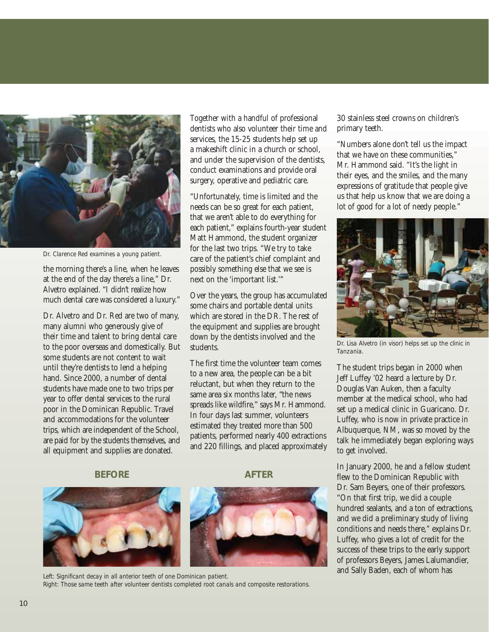

*Dr. Clarence Red examines a young patient.*

the morning there's a line, when he leaves at the end of the day there's a line," Dr. Alvetro explained. "I didn't realize how much dental care was considered a luxury."

Dr. Alvetro and Dr. Red are two of many, many alumni who generously give of their time and talent to bring dental care to the poor overseas and domestically. But some students are not content to wait until they're dentists to lend a helping hand. Since 2000, a number of dental students have made one to two trips per year to offer dental services to the rural poor in the Dominican Republic. Travel and accommodations for the volunteer trips, which are independent of the School, are paid for by the students themselves, and all equipment and supplies are donated.

Together with a handful of professional dentists who also volunteer their time and services, the 15-25 students help set up a makeshift clinic in a church or school, and under the supervision of the dentists, conduct examinations and provide oral surgery, operative and pediatric care.

"Unfortunately, time is limited and the needs can be so great for each patient, that we aren't able to do everything for each patient," explains fourth-year student Matt Hammond, the student organizer for the last two trips. "We try to take care of the patient's chief complaint and possibly something else that we see is next on the 'important list.'"

Over the years, the group has accumulated some chairs and portable dental units which are stored in the DR. The rest of the equipment and supplies are brought down by the dentists involved and the students.

The first time the volunteer team comes to a new area, the people can be a bit reluctant, but when they return to the same area six months later, "the news spreads like wildfire," says Mr. Hammond. In four days last summer, volunteers estimated they treated more than 500 patients, performed nearly 400 extractions and 220 fillings, and placed approximately

#### **BEFORE** AFTER





Left: Significant decay in all anterior teeth of one Dominican patient. *Right: Those same teeth after volunteer dentists completed root canals and composite restorations.*

30 stainless steel crowns on children's primary teeth.

"Numbers alone don't tell us the impact that we have on these communities," Mr. Hammond said. "It's the light in their eyes, and the smiles, and the many expressions of gratitude that people give us that help us know that we are doing a lot of good for a lot of needy people."



*Dr. Lisa Alvetro (in visor) helps set up the clinic in Tanzania.*

The student trips began in 2000 when Jeff Luffey '02 heard a lecture by Dr. Douglas Van Auken, then a faculty member at the medical school, who had set up a medical clinic in Guaricano. Dr. Luffey, who is now in private practice in Albuquerque, NM, was so moved by the talk he immediately began exploring ways to get involved.

In January 2000, he and a fellow student flew to the Dominican Republic with Dr. Sam Beyers, one of their professors. "On that first trip, we did a couple hundred sealants, and a ton of extractions, and we did a preliminary study of living conditions and needs there," explains Dr. Luffey, who gives a lot of credit for the success of these trips to the early support of professors Beyers, James Lalumandier, and Sally Baden, each of whom has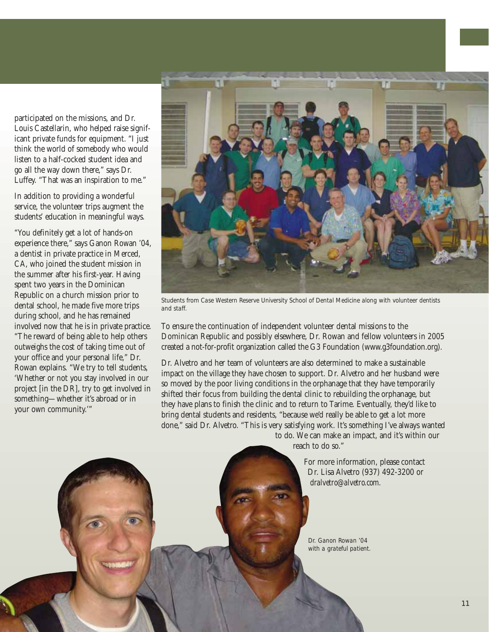participated on the missions, and Dr. Louis Castellarin, who helped raise significant private funds for equipment. "I just think the world of somebody who would listen to a half-cocked student idea and go all the way down there," says Dr. Luffey. "That was an inspiration to me."

In addition to providing a wonderful service, the volunteer trips augment the students' education in meaningful ways.

"You definitely get a lot of hands-on experience there," says Ganon Rowan '04, a dentist in private practice in Merced, CA, who joined the student mission in the summer after his first-year. Having spent two years in the Dominican Republic on a church mission prior to dental school, he made five more trips during school, and he has remained involved now that he is in private practice. "The reward of being able to help others outweighs the cost of taking time out of your office and your personal life," Dr. Rowan explains. "We try to tell students, 'Whether or not you stay involved in our project [in the DR], try to get involved in something—whether it's abroad or in your own community.'"



*Students from Case Western Reserve University School of Dental Medicine along with volunteer dentists and staff.*

To ensure the continuation of independent volunteer dental missions to the Dominican Republic and possibly elsewhere, Dr. Rowan and fellow volunteers in 2005 created a not-for-profit organization called the G3 Foundation (www.g3foundation.org).

Dr. Alvetro and her team of volunteers are also determined to make a sustainable impact on the village they have chosen to support. Dr. Alvetro and her husband were so moved by the poor living conditions in the orphanage that they have temporarily shifted their focus from building the dental clinic to rebuilding the orphanage, but they have plans to finish the clinic and to return to Tarime. Eventually, they'd like to bring dental students and residents, "because we'd really be able to get a lot more done," said Dr. Alvetro. "This is very satisfying work. It's something I've always wanted

to do. We can make an impact, and it's within our reach to do so."

> For more information, please contact Dr. Lisa Alvetro (937) 492-3200 or *dralvetro@alvetro.com.*

*Dr. Ganon Rowan '04 with a grateful patient.*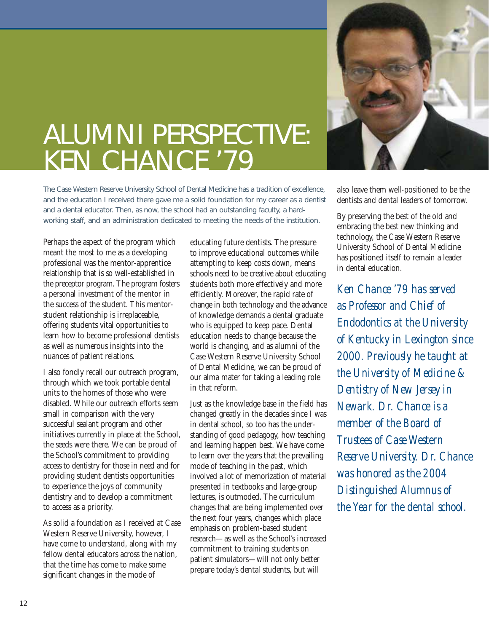

### ALUMNI PERSPECTIVE: KEN CHANCE '79

The Case Western Reserve University School of Dental Medicine has a tradition of excellence, and the education I received there gave me a solid foundation for my career as a dentist and a dental educator. Then, as now, the school had an outstanding faculty, a hardworking staff, and an administration dedicated to meeting the needs of the institution.

Perhaps the aspect of the program which meant the most to me as a developing professional was the mentor-apprentice relationship that is so well-established in the preceptor program. The program fosters a personal investment of the mentor in the success of the student. This mentorstudent relationship is irreplaceable, offering students vital opportunities to learn how to become professional dentists as well as numerous insights into the nuances of patient relations.

I also fondly recall our outreach program, through which we took portable dental units to the homes of those who were disabled. While our outreach efforts seem small in comparison with the very successful sealant program and other initiatives currently in place at the School, the seeds were there. We can be proud of the School's commitment to providing access to dentistry for those in need and for providing student dentists opportunities to experience the joys of community dentistry and to develop a commitment to access as a priority.

As solid a foundation as I received at Case Western Reserve University, however, I have come to understand, along with my fellow dental educators across the nation, that the time has come to make some significant changes in the mode of

educating future dentists. The pressure to improve educational outcomes while attempting to keep costs down, means schools need to be creative about educating students both more effectively and more efficiently. Moreover, the rapid rate of change in both technology and the advance of knowledge demands a dental graduate who is equipped to keep pace. Dental education needs to change because the world is changing, and as alumni of the Case Western Reserve University School of Dental Medicine, we can be proud of our alma mater for taking a leading role in that reform.

Just as the knowledge base in the field has changed greatly in the decades since I was in dental school, so too has the understanding of good pedagogy, how teaching and learning happen best. We have come to learn over the years that the prevailing mode of teaching in the past, which involved a lot of memorization of material presented in textbooks and large-group lectures, is outmoded. The curriculum changes that are being implemented over the next four years, changes which place emphasis on problem-based student research—as well as the School's increased commitment to training students on patient simulators—will not only better prepare today's dental students, but will

also leave them well-positioned to be the dentists and dental leaders of tomorrow.

By preserving the best of the old and embracing the best new thinking and technology, the Case Western Reserve University School of Dental Medicine has positioned itself to remain a leader in dental education.

*Ken Chance '79 has served as Professor and Chief of Endodontics at the University of Kentucky in Lexington since 2000. Previously he taught at the University of Medicine & Dentistry of New Jersey in Newark. Dr. Chance is a member of the Board of Trustees of Case Western Reserve University. Dr. Chance was honored as the 2004 Distinguished Alumnus of the Year for the dental school.*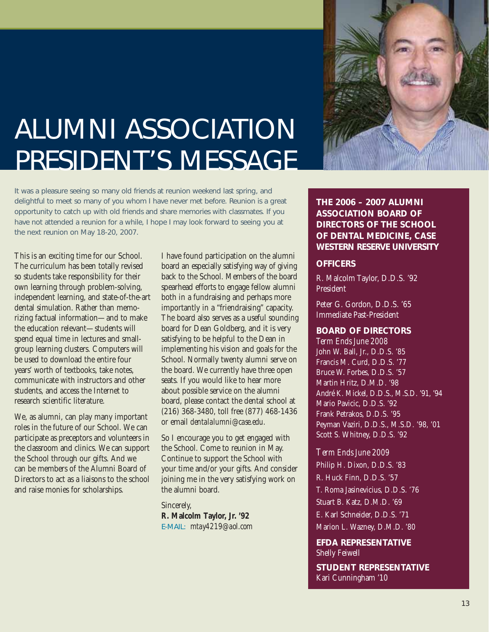

# ALUMNI ASSOCIATION PRESIDENT'S MESSAGE

It was a pleasure seeing so many old friends at reunion weekend last spring, and delightful to meet so many of you whom I have never met before. Reunion is a great opportunity to catch up with old friends and share memories with classmates. If you have not attended a reunion for a while, I hope I may look forward to seeing you at the next reunion on May 18-20, 2007.

This is an exciting time for our School. The curriculum has been totally revised so students take responsibility for their own learning through problem-solving, independent learning, and state-of-the-art dental simulation. Rather than memorizing factual information—and to make the education relevant—students will spend equal time in lectures and smallgroup learning clusters. Computers will be used to download the entire four years' worth of textbooks, take notes, communicate with instructors and other students, and access the Internet to research scientific literature.

We, as alumni, can play many important roles in the future of our School. We can participate as preceptors and volunteers in the classroom and clinics. We can support the School through our gifts. And we can be members of the Alumni Board of Directors to act as a liaisons to the school and raise monies for scholarships.

I have found participation on the alumni board an especially satisfying way of giving back to the School. Members of the board spearhead efforts to engage fellow alumni both in a fundraising and perhaps more importantly in a "friendraising" capacity. The board also serves as a useful sounding board for Dean Goldberg, and it is very satisfying to be helpful to the Dean in implementing his vision and goals for the School. Normally twenty alumni serve on the board. We currently have three open seats. If you would like to hear more about possible service on the alumni board, please contact the dental school at (216) 368-3480, toll free (877) 468-1436 or email *dentalalumni@case.edu.*

So I encourage you to get engaged with the School. Come to reunion in May. Continue to support the School with your time and/or your gifts. And consider joining me in the very satisfying work on the alumni board.

Sincerely, **R. Malcolm Taylor, Jr. '92** E-MAIL: *mtay4219@aol.com* **THE 2006 – 2007 ALUMNI ASSOCIATION BOARD OF DIRECTORS OF THE SCHOOL OF DENTAL MEDICINE, CASE WESTERN RESERVE UNIVERSITY**

#### **OFFICERS**

R. Malcolm Taylor, D.D.S. '92 President

Peter G. Gordon, D.D.S. '65 Immediate Past-President

**BOARD OF DIRECTORS**

*Term Ends June 2008* John W. Ball, Jr., D.D.S. '85 Francis M. Curd, D.D.S. '77 Bruce W. Forbes, D.D.S. '57 Martin Hritz, D.M.D. '98 André K. Mickel, D.D.S., M.S.D. '91, '94 Mario Pavicic, D.D.S. '92 Frank Petrakos, D.D.S. '95 Peyman Vaziri, D.D.S., M.S.D. '98, '01 Scott S. Whitney, D.D.S. '92

*Term Ends June 2009* Philip H. Dixon, D.D.S. '83 R. Huck Finn, D.D.S. '57 T. Roma Jasinevicius, D.D.S. '76 Stuart B. Katz, D.M.D. '69 E. Karl Schneider, D.D.S. '71 Marion L. Wazney, D.M.D. '80

**EFDA REPRESENTATIVE** Shelly Feiwell

**STUDENT REPRESENTATIVE** Kari Cunningham '10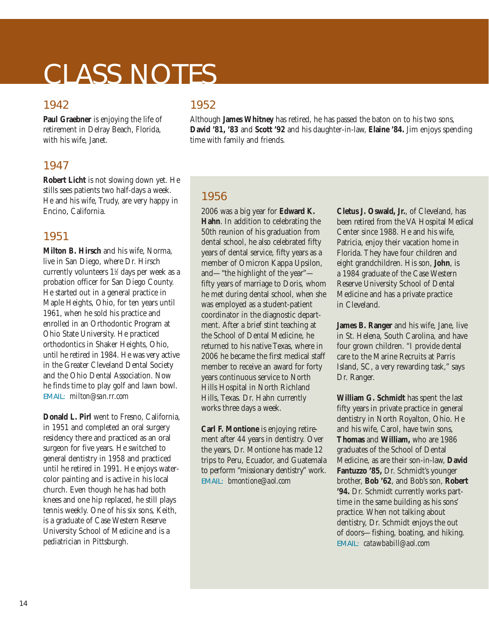### CLASS NOTES

#### 1942

**Paul Graebner** is enjoying the life of retirement in Delray Beach, Florida, with his wife, Janet.

#### 1947

**Robert Licht** is not slowing down yet. He stills sees patients two half-days a week. He and his wife, Trudy, are very happy in Encino, California.

#### 1951

**Milton B. Hirsch** and his wife, Norma, live in San Diego, where Dr. Hirsch currently volunteers 1½ days per week as a probation officer for San Diego County. He started out in a general practice in Maple Heights, Ohio, for ten years until 1961, when he sold his practice and enrolled in an Orthodontic Program at Ohio State University. He practiced orthodontics in Shaker Heights, Ohio, until he retired in 1984. He was very active in the Greater Cleveland Dental Society and the Ohio Dental Association. Now he finds time to play golf and lawn bowl. EMAIL: *milton@san.rr.com*

**Donald L. Pirl** went to Fresno, California, in 1951 and completed an oral surgery residency there and practiced as an oral surgeon for five years. He switched to general dentistry in 1958 and practiced until he retired in 1991. He enjoys watercolor painting and is active in his local church. Even though he has had both knees and one hip replaced, he still plays tennis weekly. One of his six sons, Keith, is a graduate of Case Western Reserve University School of Medicine and is a pediatrician in Pittsburgh.

#### 1952

Although **James Whitney** has retired, he has passed the baton on to his two sons, **David '81, '83** and **Scott '92** and his daughter-in-law, **Elaine '84.** Jim enjoys spending time with family and friends.

#### 1956

2006 was a big year for **Edward K. Hahn**. In addition to celebrating the 50th reunion of his graduation from dental school, he also celebrated fifty years of dental service, fifty years as a member of Omicron Kappa Upsilon, and—"the highlight of the year" fifty years of marriage to Doris, whom he met during dental school, when she was employed as a student-patient coordinator in the diagnostic department. After a brief stint teaching at the School of Dental Medicine, he returned to his native Texas, where in 2006 he became the first medical staff member to receive an award for forty years continuous service to North Hills Hospital in North Richland Hills, Texas. Dr. Hahn currently works three days a week.

**Carl F. Montione** is enjoying retirement after 44 years in dentistry. Over the years, Dr. Montione has made 12 trips to Peru, Ecuador, and Guatemala to perform "missionary dentistry" work. EMAIL: *bmontione@aol.com*

**Cletus J. Oswald, Jr.**, of Cleveland, has been retired from the VA Hospital Medical Center since 1988. He and his wife, Patricia, enjoy their vacation home in Florida. They have four children and eight grandchildren. His son, **John**, is a 1984 graduate of the Case Western Reserve University School of Dental Medicine and has a private practice in Cleveland.

**James B. Ranger** and his wife, Jane, live in St. Helena, South Carolina, and have four grown children. "I provide dental care to the Marine Recruits at Parris Island, SC, a very rewarding task," says Dr. Ranger.

**William G. Schmidt** has spent the last fifty years in private practice in general dentistry in North Royalton, Ohio. He and his wife, Carol, have twin sons, **Thomas** and **William,** who are 1986 graduates of the School of Dental Medicine, as are their son-in-law, **David Fantuzzo '85,** Dr. Schmidt's younger brother, **Bob '62**, and Bob's son, **Robert '94.** Dr. Schmidt currently works parttime in the same building as his sons' practice. When not talking about dentistry, Dr. Schmidt enjoys the out of doors—fishing, boating, and hiking. EMAIL: *catawbabill@aol.com*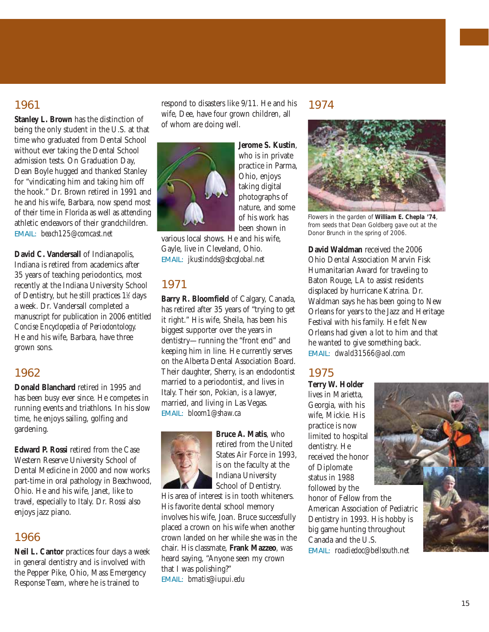#### 1961

**Stanley L. Brown** has the distinction of being the only student in the U.S. at that time who graduated from Dental School without ever taking the Dental School admission tests. On Graduation Day, Dean Boyle hugged and thanked Stanley for "vindicating him and taking him off the hook." Dr. Brown retired in 1991 and he and his wife, Barbara, now spend most of their time in Florida as well as attending athletic endeavors of their grandchildren. EMAIL: *beach125@comcast.net*

**David C. Vandersall** of Indianapolis, Indiana is retired from academics after 35 years of teaching periodontics, most recently at the Indiana University School of Dentistry, but he still practices  $1\frac{1}{2}$  days a week. Dr. Vandersall completed a manuscript for publication in 2006 entitled *Concise Encyclopedia of Periodontology.* He and his wife, Barbara, have three grown sons.

#### 1962

**Donald Blanchard** retired in 1995 and has been busy ever since. He competes in running events and triathlons. In his slow time, he enjoys sailing, golfing and gardening.

**Edward P. Rossi** retired from the Case Western Reserve University School of Dental Medicine in 2000 and now works part-time in oral pathology in Beachwood, Ohio. He and his wife, Janet, like to travel, especially to Italy. Dr. Rossi also enjoys jazz piano.

#### 1966

**Neil L. Cantor** practices four days a week in general dentistry and is involved with the Pepper Pike, Ohio, Mass Emergency Response Team, where he is trained to

respond to disasters like 9/11. He and his wife, Dee, have four grown children, all of whom are doing well.



**Jerome S. Kustin**, who is in private practice in Parma, Ohio, enjoys taking digital photographs of nature, and some of his work has been shown in

various local shows. He and his wife, Gayle, live in Cleveland, Ohio. EMAIL: *jkustindds@sbcglobal.net*

#### 1971

**Barry R. Bloomfield** of Calgary, Canada, has retired after 35 years of "trying to get it right." His wife, Sheila, has been his biggest supporter over the years in dentistry—running the "front end" and keeping him in line. He currently serves on the Alberta Dental Association Board. Their daughter, Sherry, is an endodontist married to a periodontist, and lives in Italy. Their son, Pokian, is a lawyer, married, and living in Las Vegas. EMAIL: *bloom1@shaw.ca*



**Bruce A. Matis**, who retired from the United States Air Force in 1993, is on the faculty at the Indiana University School of Dentistry.

His area of interest is in tooth whiteners. His favorite dental school memory involves his wife, Joan. Bruce successfully placed a crown on his wife when another crown landed on her while she was in the chair. His classmate, **Frank Mazzeo**, was heard saying, "Anyone seen my crown that I was polishing?" EMAIL: *bmatis@iupui.edu*

#### 1974



*Flowers in the garden of William E. Chepla '74, from seeds that Dean Goldberg gave out at the Donor Brunch in the spring of 2006.*

**David Waldman** received the 2006 Ohio Dental Association Marvin Fisk Humanitarian Award for traveling to Baton Rouge, LA to assist residents displaced by hurricane Katrina. Dr. Waldman says he has been going to New Orleans for years to the Jazz and Heritage Festival with his family. He felt New Orleans had given a lot to him and that he wanted to give something back. EMAIL: *dwald31566@aol.com*

#### 1975

**Terry W. Holder** lives in Marietta, Georgia, with his wife, Mickie. His practice is now limited to hospital dentistry. He received the honor of Diplomate status in 1988 followed by the honor of Fellow from the American Association of Pediatric Dentistry in 1993. His hobby is big game hunting throughout Canada and the U.S. EMAIL: *roadiedoc@bellsouth.net* 

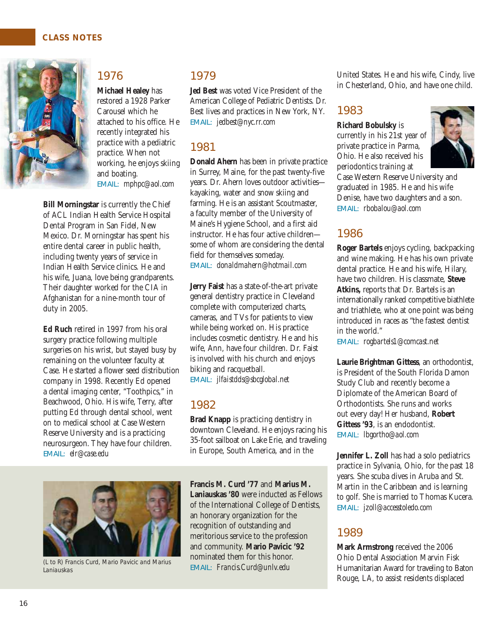

duty in 2005.

EMAIL: *elr@case.edu*

#### 1976

**Bill Morningstar** is currently the Chief of ACL Indian Health Service Hospital Dental Program in San Fidel, New Mexico. Dr. Morningstar has spent his entire dental career in public health, including twenty years of service in Indian Health Service clinics. He and his wife, Juana, love being grandparents. Their daughter worked for the CIA in Afghanistan for a nine-month tour of

**Ed Ruch** retired in 1997 from his oral surgery practice following multiple surgeries on his wrist, but stayed busy by remaining on the volunteer faculty at Case. He started a flower seed distribution company in 1998. Recently Ed opened a dental imaging center, "Toothpics," in Beachwood, Ohio. His wife, Terry, after putting Ed through dental school, went on to medical school at Case Western Reserve University and is a practicing neurosurgeon. They have four children.

**Michael Healey** has restored a 1928 Parker Carousel which he attached to his office. He recently integrated his practice with a pediatric practice. When not working, he enjoys skiing and boating. EMAIL: *mphpc@aol.com*

#### 1979

**Jed Best** was voted Vice President of the American College of Pediatric Dentists. Dr. Best lives and practices in New York, NY. EMAIL: *jedbest@nyc.rr.com*

#### 1981

**Donald Ahern** has been in private practice in Surrey, Maine, for the past twenty-five years. Dr. Ahern loves outdoor activities kayaking, water and snow skiing and farming. He is an assistant Scoutmaster, a faculty member of the University of Maine's Hygiene School, and a first aid instructor. He has four active children some of whom are considering the dental field for themselves someday. EMAIL: *donaldmahern@hotmail.com*

**Jerry Faist** has a state-of-the-art private general dentistry practice in Cleveland complete with computerized charts, cameras, and TVs for patients to view while being worked on. His practice includes cosmetic dentistry. He and his wife, Ann, have four children. Dr. Faist is involved with his church and enjoys biking and racquetball. EMAIL: *jlfaistdds@sbcglobal.net*

#### 1982

**Brad Knapp** is practicing dentistry in downtown Cleveland. He enjoys racing his 35-foot sailboat on Lake Erie, and traveling in Europe, South America, and in the



*(L to R) Francis Curd, Mario Pavicic and Marius Laniauskas*

**Francis M. Curd '77** and **Marius M. Laniauskas '80** were inducted as Fellows of the International College of Dentists, an honorary organization for the recognition of outstanding and meritorious service to the profession and community. **Mario Pavicic '92** nominated them for this honor. EMAIL: *Francis.Curd@unlv.edu*

United States. He and his wife, Cindy, live in Chesterland, Ohio, and have one child.

#### 1983

#### **Richard Bobulsky** is

currently in his 21st year of private practice in Parma, Ohio. He also received his periodontics training at



Case Western Reserve University and graduated in 1985. He and his wife Denise, have two daughters and a son. EMAIL: *rbobalou@aol.com*

#### 1986

**Roger Bartels** enjoys cycling, backpacking and wine making. He has his own private dental practice. He and his wife, Hilary, have two children. His classmate, **Steve Atkins,** reports that Dr. Bartels is an internationally ranked competitive biathlete and triathlete, who at one point was being introduced in races as "the fastest dentist in the world."

EMAIL: *rogbartels1@comcast.net*

**Laurie Brightman Gittess**, an orthodontist, is President of the South Florida Damon Study Club and recently become a Diplomate of the American Board of Orthodontists. She runs and works out every day! Her husband, **Robert Gittess '93**, is an endodontist. EMAIL: *lbgortho@aol.com*

**Jennifer L. Zoll** has had a solo pediatrics practice in Sylvania, Ohio, for the past 18 years. She scuba dives in Aruba and St. Martin in the Caribbean and is learning to golf. She is married to Thomas Kucera. EMAIL: *jzoll@accesstoledo.com*

#### 1989

**Mark Armstrong** received the 2006 Ohio Dental Association Marvin Fisk Humanitarian Award for traveling to Baton Rouge, LA, to assist residents displaced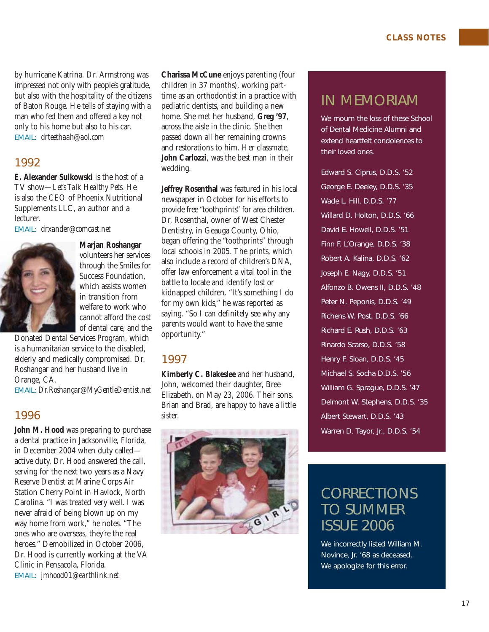by hurricane Katrina. Dr. Armstrong was impressed not only with people's gratitude, but also with the hospitality of the citizens of Baton Rouge. He tells of staying with a man who fed them and offered a key not only to his home but also to his car. EMAIL: *drteethaah@aol.com*

#### 1992

**E. Alexander Sulkowski** is the host of a TV show—*Let's Talk Healthy Pets.* He is also the CEO of Phoenix Nutritional Supplements LLC, an author and a lecturer.

EMAIL: *drxander@comcast.net*



**Marjan Roshangar** volunteers her services through the Smiles for Success Foundation, which assists women in transition from welfare to work who cannot afford the cost of dental care, and the

Donated Dental Services Program, which is a humanitarian service to the disabled, elderly and medically compromised. Dr. Roshangar and her husband live in Orange, CA.

EMAIL: *Dr.Roshangar@MyGentleDentist.net*

#### 1996

**John M. Hood** was preparing to purchase a dental practice in Jacksonville, Florida, in December 2004 when duty called active duty. Dr. Hood answered the call, serving for the next two years as a Navy Reserve Dentist at Marine Corps Air Station Cherry Point in Havlock, North Carolina. "I was treated very well. I was never afraid of being blown up on my way home from work," he notes. "The ones who are overseas, they're the real heroes." Demobilized in October 2006, Dr. Hood is currently working at the VA Clinic in Pensacola, Florida. EMAIL: *jmhood01@earthlink.net*

**Charissa McCune** enjoys parenting (four children in 37 months), working parttime as an orthodontist in a practice with pediatric dentists, and building a new home. She met her husband, **Greg '97**, across the aisle in the clinic. She then passed down all her remaining crowns and restorations to him. Her classmate, **John Carlozzi**, was the best man in their wedding.

**Jeffrey Rosenthal** was featured in his local newspaper in October for his efforts to provide free "toothprints" for area children. Dr. Rosenthal, owner of West Chester Dentistry, in Geauga County, Ohio, began offering the "toothprints" through local schools in 2005. The prints, which also include a record of children's DNA, offer law enforcement a vital tool in the battle to locate and identify lost or kidnapped children. "It's something I do for my own kids," he was reported as saying. "So I can definitely see why any parents would want to have the same opportunity."

#### 1997

**Kimberly C. Blakeslee** and her husband, John, welcomed their daughter, Bree Elizabeth, on May 23, 2006. Their sons, Brian and Brad, are happy to have a little sister.



### IN MEMORIAM

We mourn the loss of these School of Dental Medicine Alumni and extend heartfelt condolences to their loved ones.

Edward S. Ciprus, D.D.S. '52 George E. Deeley, D.D.S. '35 Wade L. Hill, D.D.S. '77 Willard D. Holton, D.D.S. '66 David E. Howell, D.D.S. '51 Finn F. L'Orange, D.D.S. '38 Robert A. Kalina, D.D.S. '62 Joseph E. Nagy, D.D.S. '51 Alfonzo B. Owens II, D.D.S. '48 Peter N. Peponis, D.D.S. '49 Richens W. Post, D.D.S. '66 Richard E. Rush, D.D.S. '63 Rinardo Scarso, D.D.S. '58 Henry F. Sloan, D.D.S. '45 Michael S. Socha D.D.S. '56 William G. Sprague, D.D.S. '47 Delmont W. Stephens, D.D.S. '35 Albert Stewart, D.D.S. '43 Warren D. Tayor, Jr., D.D.S. '54

### **CORRECTIONS** TO SUMMER ISSUE 2006

We incorrectly listed William M. Novince, Jr. '68 as deceased. We apologize for this error.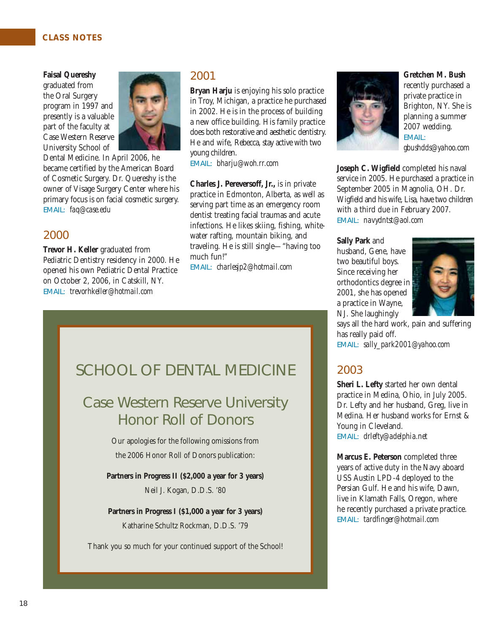#### **CLASS NOTES**

#### **Faisal Quereshy**

graduated from the Oral Surgery program in 1997 and presently is a valuable part of the faculty at Case Western Reserve University School of



Dental Medicine. In April 2006, he became certified by the American Board of Cosmetic Surgery. Dr. Quereshy is the owner of Visage Surgery Center where his primary focus is on facial cosmetic surgery. EMAIL: *faq@case.edu*

#### 2000

**Trevor H. Keller** graduated from Pediatric Dentistry residency in 2000. He opened his own Pediatric Dental Practice on October 2, 2006, in Catskill, NY. EMAIL: *trevorhkeller@hotmail.com*

#### 2001

**Bryan Harju** is enjoying his solo practice in Troy, Michigan, a practice he purchased in 2002. He is in the process of building a new office building. His family practice does both restorative and aesthetic dentistry. He and wife, Rebecca, stay active with two young children.

EMAIL: *bharju@woh.rr.com*

**Charles J. Pereversoff, Jr.,** is in private practice in Edmonton, Alberta, as well as serving part time as an emergency room dentist treating facial traumas and acute infections. He likes skiing, fishing, whitewater rafting, mountain biking, and traveling. He is still single—"having too much fun!"

EMAIL: *charlesjp2@hotmail.com*

### SCHOOL OF DENTAL MEDICINE

### Case Western Reserve University Honor Roll of Donors

Our apologies for the following omissions from the 2006 Honor Roll of Donors publication:

**Partners in Progress II (\$2,000 a year for 3 years)**  Neil J. Kogan, D.D.S. '80

**Partners in Progress I (\$1,000 a year for 3 years)**  Katharine Schultz Rockman, D.D.S. '79

Thank you so much for your continued support of the School!



**Gretchen M. Bush** recently purchased a private practice in Brighton, NY. She is planning a summer 2007 wedding. EMAIL: *gbushdds@yahoo.com*

**Joseph C. Wigfield** completed his naval service in 2005. He purchased a practice in September 2005 in Magnolia, OH. Dr. Wigfield and his wife, Lisa, have two children with a third due in February 2007. EMAIL: *navydntst@aol.com*

#### **Sally Park** and

husband, Gene, have two beautiful boys. Since receiving her orthodontics degree in 2001, she has opened a practice in Wayne, NJ. She laughingly



says all the hard work, pain and suffering has really paid off.

EMAIL: *sally\_park2001@yahoo.com*

#### 2003

**Sheri L. Lefty** started her own dental practice in Medina, Ohio, in July 2005. Dr. Lefty and her husband, Greg, live in Medina. Her husband works for Ernst & Young in Cleveland. EMAIL: *drlefty@adelphia.net*

**Marcus E. Peterson** completed three years of active duty in the Navy aboard USS Austin LPD-4 deployed to the Persian Gulf. He and his wife, Dawn, live in Klamath Falls, Oregon, where he recently purchased a private practice. EMAIL: *tardfinger@hotmail.com*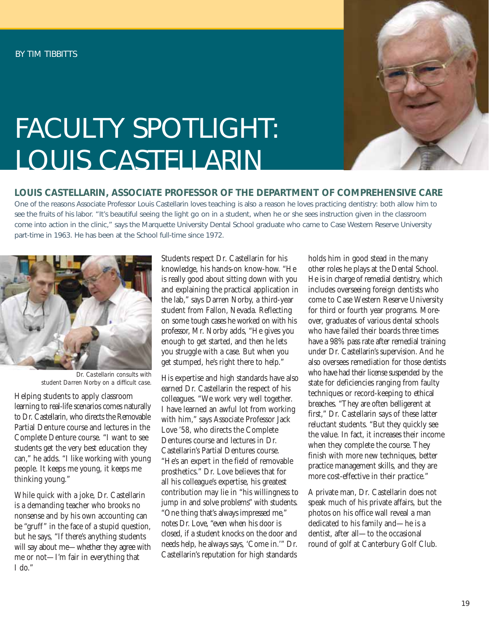

# FACULTY SPOTLIGHT: LOUIS CASTELLARIN

#### **LOUIS CASTELLARIN, ASSOCIATE PROFESSOR OF THE DEPARTMENT OF COMPREHENSIVE CARE**

One of the reasons Associate Professor Louis Castellarin loves teaching is also a reason he loves practicing dentistry: both allow him to see the fruits of his labor. "It's beautiful seeing the light go on in a student, when he or she sees instruction given in the classroom come into action in the clinic," says the Marquette University Dental School graduate who came to Case Western Reserve University part-time in 1963. He has been at the School full-time since 1972.



*Dr. Castellarin consults with student Darren Norby on a difficult case.*

Helping students to apply classroom learning to real-life scenarios comes naturally to Dr. Castellarin, who directs the Removable Partial Denture course and lectures in the Complete Denture course. "I want to see students get the very best education they can," he adds. "I like working with young people. It keeps me young, it keeps me thinking young."

While quick with a joke, Dr. Castellarin is a demanding teacher who brooks no nonsense and by his own accounting can be "gruff" in the face of a stupid question, but he says, "If there's anything students will say about me—whether they agree with me or not—I'm fair in everything that I do."

Students respect Dr. Castellarin for his knowledge, his hands-on know-how. "He is really good about sitting down with you and explaining the practical application in the lab," says Darren Norby, a third-year student from Fallon, Nevada. Reflecting on some tough cases he worked on with his professor, Mr. Norby adds, "He gives you enough to get started, and then he lets you struggle with a case. But when you get stumped, he's right there to help."

His expertise and high standards have also earned Dr. Castellarin the respect of his colleagues. "We work very well together. I have learned an awful lot from working with him," says Associate Professor Jack Love '58, who directs the Complete Dentures course and lectures in Dr. Castellarin's Partial Dentures course. "He's an expert in the field of removable prosthetics." Dr. Love believes that for all his colleague's expertise, his greatest contribution may lie in "his willingness to jump in and solve problems" with students. "One thing that's always impressed me," notes Dr. Love, "even when his door is closed, if a student knocks on the door and needs help, he always says, 'Come in.'" Dr. Castellarin's reputation for high standards

holds him in good stead in the many other roles he plays at the Dental School. He is in charge of remedial dentistry, which includes overseeing foreign dentists who come to Case Western Reserve University for third or fourth year programs. Moreover, graduates of various dental schools who have failed their boards three times have a 98% pass rate after remedial training under Dr. Castellarin's supervision. And he also oversees remediation for those dentists who have had their license suspended by the state for deficiencies ranging from faulty techniques or record-keeping to ethical breaches. "They are often belligerent at first," Dr. Castellarin says of these latter reluctant students. "But they quickly see the value. In fact, it increases their income when they complete the course. They finish with more new techniques, better practice management skills, and they are more cost-effective in their practice."

A private man, Dr. Castellarin does not speak much of his private affairs, but the photos on his office wall reveal a man dedicated to his family and—he is a dentist, after all—to the occasional round of golf at Canterbury Golf Club.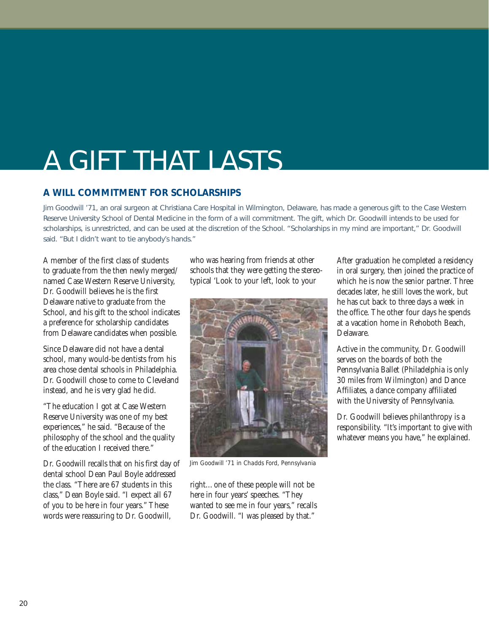### A GIFT THAT LASTS

#### **A WILL COMMITMENT FOR SCHOLARSHIPS**

Jim Goodwill '71, an oral surgeon at Christiana Care Hospital in Wilmington, Delaware, has made a generous gift to the Case Western Reserve University School of Dental Medicine in the form of a will commitment. The gift, which Dr. Goodwill intends to be used for scholarships, is unrestricted, and can be used at the discretion of the School. "Scholarships in my mind are important," Dr. Goodwill said. "But I didn't want to tie anybody's hands."

A member of the first class of students to graduate from the then newly merged/ named Case Western Reserve University, Dr. Goodwill believes he is the first Delaware native to graduate from the School, and his gift to the school indicates a preference for scholarship candidates from Delaware candidates when possible.

Since Delaware did not have a dental school, many would-be dentists from his area chose dental schools in Philadelphia. Dr. Goodwill chose to come to Cleveland instead, and he is very glad he did.

"The education I got at Case Western Reserve University was one of my best experiences," he said. "Because of the philosophy of the school and the quality of the education I received there."

Dr. Goodwill recalls that on his first day of dental school Dean Paul Boyle addressed the class. "There are 67 students in this class," Dean Boyle said. "I expect all 67 of you to be here in four years." These words were reassuring to Dr. Goodwill,

who was hearing from friends at other schools that they were getting the stereotypical 'Look to your left, look to your



*Jim Goodwill '71 in Chadds Ford, Pennsylvania*

right…one of these people will not be here in four years' speeches. "They wanted to see me in four years," recalls Dr. Goodwill. "I was pleased by that."

After graduation he completed a residency in oral surgery, then joined the practice of which he is now the senior partner. Three decades later, he still loves the work, but he has cut back to three days a week in the office. The other four days he spends at a vacation home in Rehoboth Beach, Delaware.

Active in the community, Dr. Goodwill serves on the boards of both the Pennsylvania Ballet (Philadelphia is only 30 miles from Wilmington) and Dance Affiliates, a dance company affiliated with the University of Pennsylvania.

Dr. Goodwill believes philanthropy is a responsibility. "It's important to give with whatever means you have," he explained.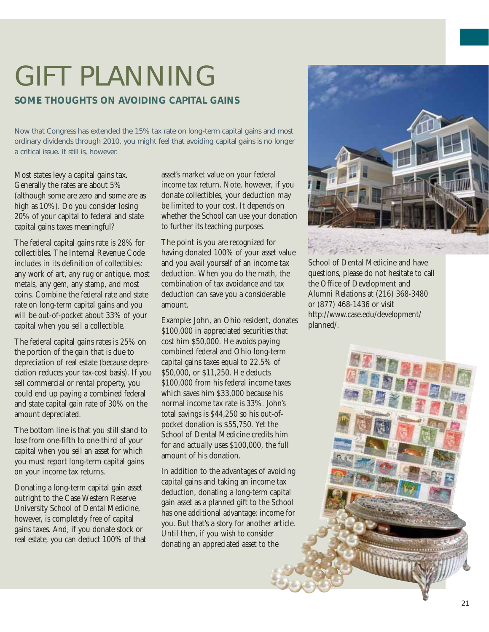# GIFT PLANNING

#### **SOME THOUGHTS ON AVOIDING CAPITAL GAINS**

Now that Congress has extended the 15% tax rate on long-term capital gains and most ordinary dividends through 2010, you might feel that avoiding capital gains is no longer a critical issue. It still is, however.

Most states levy a capital gains tax. Generally the rates are about 5% (although some are zero and some are as high as 10%). Do you consider losing 20% of your capital to federal and state capital gains taxes meaningful?

The federal capital gains rate is 28% for collectibles. The Internal Revenue Code includes in its definition of collectibles: any work of art, any rug or antique, most metals, any gem, any stamp, and most coins. Combine the federal rate and state rate on long-term capital gains and you will be out-of-pocket about 33% of your capital when you sell a collectible.

The federal capital gains rates is 25% on the portion of the gain that is due to depreciation of real estate (because depreciation reduces your tax-cost basis). If you sell commercial or rental property, you could end up paying a combined federal and state capital gain rate of 30% on the amount depreciated.

The bottom line is that you still stand to lose from one-fifth to one-third of your capital when you sell an asset for which you must report long-term capital gains on your income tax returns.

Donating a long-term capital gain asset outright to the Case Western Reserve University School of Dental Medicine, however, is completely free of capital gains taxes. And, if you donate stock or real estate, you can deduct 100% of that asset's market value on your federal income tax return. Note, however, if you donate collectibles, your deduction may be limited to your cost. It depends on whether the School can use your donation to further its teaching purposes.

The point is you are recognized for having donated 100% of your asset value and you avail yourself of an income tax deduction. When you do the math, the combination of tax avoidance and tax deduction can save you a considerable amount.

Example: John, an Ohio resident, donates \$100,000 in appreciated securities that cost him \$50,000. He avoids paying combined federal and Ohio long-term capital gains taxes equal to 22.5% of \$50,000, or \$11,250. He deducts \$100,000 from his federal income taxes which saves him \$33,000 because his normal income tax rate is 33%. John's total savings is \$44,250 so his out-ofpocket donation is \$55,750. Yet the School of Dental Medicine credits him for and actually uses \$100,000, the full amount of his donation.

In addition to the advantages of avoiding capital gains and taking an income tax deduction, donating a long-term capital gain asset as a planned gift to the School has one additional advantage: income for you. But that's a story for another article. Until then, if you wish to consider donating an appreciated asset to the



School of Dental Medicine and have questions, please do not hesitate to call the Office of Development and Alumni Relations at (216) 368-3480 or (877) 468-1436 or visit http://www.case.edu/development/ planned/.

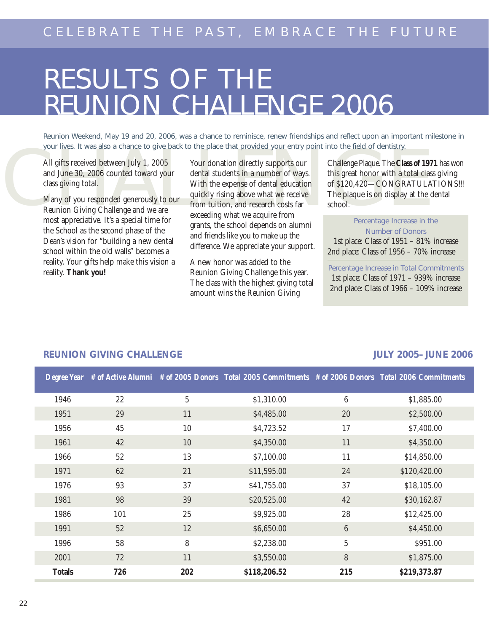# RESULTS OF THE REUNION CHALLENGE 2006

Reunion Weekend, May 19 and 20, 2006, was a chance to reminisce, renew friendships and reflect upon an important milestone in your lives. It was also a chance to give back to the place that provided your entry point into the field of dentistry.

All gifts received between July 1, 2005 and June 30, 2006 counted toward your class giving total.

Many of you responded generously to our Reunion Giving Challenge and we are most appreciative. It's a special time for the School as the second phase of the Dean's vision for "building a new dental school within the old walls" becomes a reality. Your gifts help make this vision a reality. **Thank you!** 

Four documents of the phase and provided year-hitly point into the hite of dentisty.<br>
All gifts received between July 1, 2005<br>
Many of you responded generously to our<br>
Many of you responded generously to our<br>
Reunion Givin Your donation directly supports our dental students in a number of ways. With the expense of dental education quickly rising above what we receive from tuition, and research costs far exceeding what we acquire from grants, the school depends on alumni and friends like you to make up the difference. We appreciate your support.

> A new honor was added to the Reunion Giving Challenge this year. The class with the highest giving total amount wins the Reunion Giving

Challenge Plaque. The **Class of 1971** has won this great honor with a total class giving of \$120,420—CONGRATULATIONS!!! The plaque is on display at the dental school.

Percentage Increase in the Number of Donors 1st place: Class of 1951 – 81% increase 2nd place: Class of 1956 – 70% increase

Percentage Increase in Total Commitments

1st place: Class of 1971 – 939% increase 2nd place: Class of 1966 – 109% increase

|               |     |                | Degree Year # of Active Alumni # of 2005 Donors Total 2005 Commitments # of 2006 Donors Total 2006 Commitments |                  |              |
|---------------|-----|----------------|----------------------------------------------------------------------------------------------------------------|------------------|--------------|
| 1946          | 22  | $\overline{5}$ | \$1,310.00                                                                                                     | $\boldsymbol{6}$ | \$1,885.00   |
| 1951          | 29  | 11             | \$4,485.00                                                                                                     | 20               | \$2,500.00   |
| 1956          | 45  | 10             | \$4,723.52                                                                                                     | 17               | \$7,400.00   |
| 1961          | 42  | 10             | \$4,350.00                                                                                                     | 11               | \$4,350.00   |
| 1966          | 52  | 13             | \$7,100.00                                                                                                     | 11               | \$14,850.00  |
| 1971          | 62  | 21             | \$11,595.00                                                                                                    | 24               | \$120,420.00 |
| 1976          | 93  | 37             | \$41,755.00                                                                                                    | 37               | \$18,105.00  |
| 1981          | 98  | 39             | \$20,525.00                                                                                                    | 42               | \$30,162.87  |
| 1986          | 101 | 25             | \$9,925.00                                                                                                     | 28               | \$12,425.00  |
| 1991          | 52  | 12             | \$6,650.00                                                                                                     | $6\phantom{.}6$  | \$4,450.00   |
| 1996          | 58  | 8              | \$2,238.00                                                                                                     | $\overline{5}$   | \$951.00     |
| 2001          | 72  | 11             | \$3,550.00                                                                                                     | 8                | \$1,875.00   |
| <b>Totals</b> | 726 | 202            | \$118,206.52                                                                                                   | 215              | \$219,373.87 |

#### **REUNION GIVING CHALLENGE JULY 2005– JUNE 2006**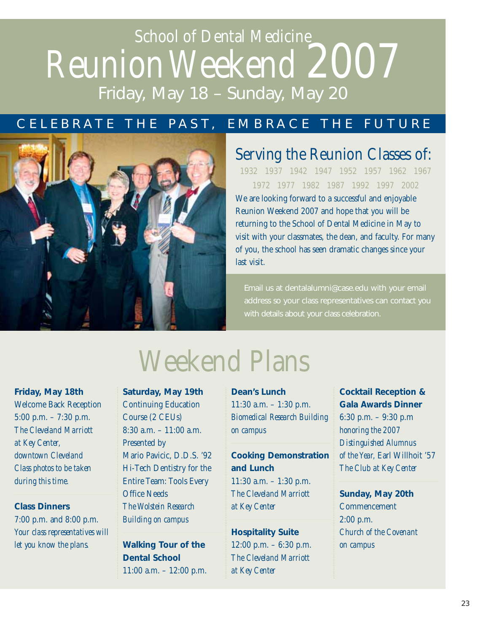### School of Dental Medicine ReunionWeekend 2007 Friday, May 18 – Sunday, May 20

#### CELEBRATE THE PAST, EMBRACE THE FUTURE



### Serving the Reunion Classes of:

1932 1937 1942 1947 1952 1957 1962 1967 1972 1977 1982 1987 1992 1997 2002

We are looking forward to a successful and enjoyable Reunion Weekend 2007 and hope that you will be returning to the School of Dental Medicine in May to visit with your classmates, the dean, and faculty. For many of you, the school has seen dramatic changes since your last visit.

Email us at dentalalumni@case.edu with your email address so your class representatives can contact you with details about your class celebration.

**Friday, May 18th** Welcome Back Reception 5:00 p.m. – 7:30 p.m. *The Cleveland Marriott at Key Center, downtown Cleveland Class photos to be taken during this time.*

**Class Dinners** 7:00 p.m. and 8:00 p.m. *Your class representatives will let you know the plans.*

# Weekend Plans

**Saturday, May 19th** Continuing Education Course (2 CEUs) 8:30 a.m. – 11:00 a.m. Presented by Mario Pavicic, D.D.S. '92 Hi-Tech Dentistry for the Entire Team: Tools Every Office Needs *The Wolstein Research Building on campus*

**Walking Tour of the Dental School** 11:00 a.m. – 12:00 p.m. **Dean's Lunch** 11:30 a.m. – 1:30 p.m. *Biomedical Research Building on campus*

#### **Cooking Demonstration and Lunch**

11:30 a.m. – 1:30 p.m. *The Cleveland Marriott at Key Center*

**Hospitality Suite**  12:00 p.m. – 6:30 p.m. *The Cleveland Marriott at Key Center*

**Cocktail Reception & Gala Awards Dinner** 6:30 p.m. – 9:30 p.m *honoring the 2007 Distinguished Alumnus of the Year,* Earl Willhoit '57 *The Club at Key Center*

**Sunday, May 20th**  Commencement 2:00 p.m. *Church of the Covenant on campus*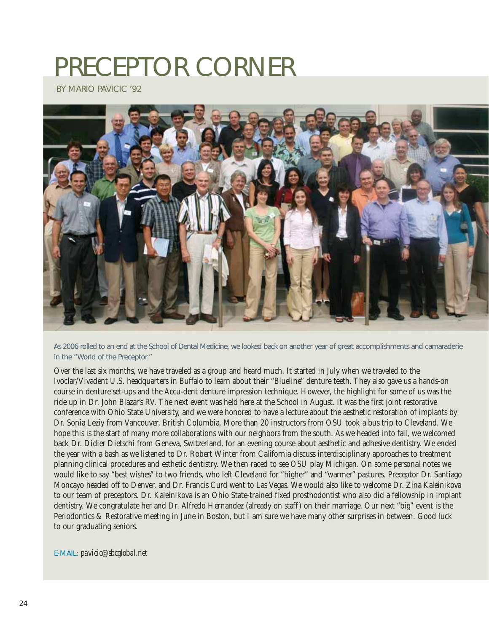# PRECEPTOR CORNER

BY MARIO PAVICIC '92



As 2006 rolled to an end at the School of Dental Medicine, we looked back on another year of great accomplishments and camaraderie in the "World of the Preceptor."

Over the last six months, we have traveled as a group and heard much. It started in July when we traveled to the Ivoclar/Vivadent U.S. headquarters in Buffalo to learn about their "Blueline" denture teeth. They also gave us a hands-on course in denture set-ups and the Accu-dent denture impression technique. However, the highlight for some of us was the ride up in Dr. John Blazar's RV. The next event was held here at the School in August. It was the first joint restorative conference with Ohio State University, and we were honored to have a lecture about the aesthetic restoration of implants by Dr. Sonia Leziy from Vancouver, British Columbia. More than 20 instructors from OSU took a bus trip to Cleveland. We hope this is the start of many more collaborations with our neighbors from the south. As we headed into fall, we welcomed back Dr. Didier Dietschi from Geneva, Switzerland, for an evening course about aesthetic and adhesive dentistry. We ended the year with a bash as we listened to Dr. Robert Winter from California discuss interdisciplinary approaches to treatment planning clinical procedures and esthetic dentistry. We then raced to see OSU play Michigan. On some personal notes we would like to say "best wishes" to two friends, who left Cleveland for "higher" and "warmer" pastures. Preceptor Dr. Santiago Moncayo headed off to Denver, and Dr. Francis Curd went to Las Vegas. We would also like to welcome Dr. Zina Kaleinikova to our team of preceptors. Dr. Kaleinikova is an Ohio State-trained fixed prosthodontist who also did a fellowship in implant dentistry. We congratulate her and Dr. Alfredo Hernandez (already on staff) on their marriage. Our next "big" event is the Periodontics & Restorative meeting in June in Boston, but I am sure we have many other surprises in between. Good luck to our graduating seniors.

E-MAIL: *pavicic@sbcglobal.net*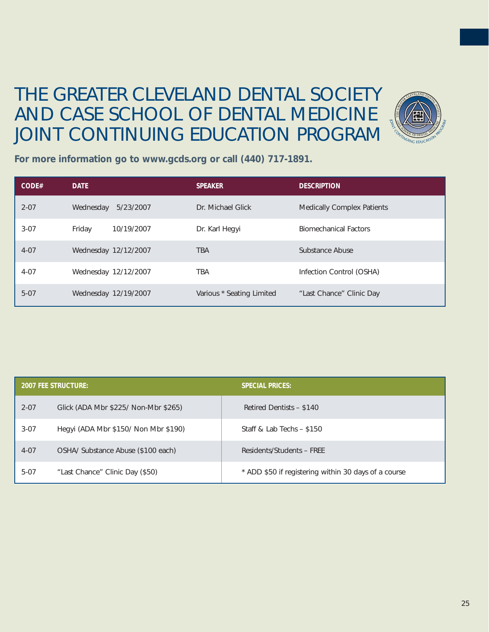### THE GREATER CLEVELAND DENTAL SOCIETY AND CASE SCHOOL OF DENTAL MEDICINE JOINT CONTINUING EDUCATION PROGRAM



**For more information go to www.gcds.org or call (440) 717-1891.**

| CODE#    | <b>DATE</b>            | <b>SPEAKER</b>            | <b>DESCRIPTION</b>                |
|----------|------------------------|---------------------------|-----------------------------------|
| $2 - 07$ | 5/23/2007<br>Wednesday | Dr. Michael Glick         | <b>Medically Complex Patients</b> |
| $3-07$   | 10/19/2007<br>Friday   | Dr. Karl Hegyi            | <b>Biomechanical Factors</b>      |
| $4 - 07$ | Wednesday 12/12/2007   | <b>TBA</b>                | Substance Abuse                   |
| $4 - 07$ | Wednesday 12/12/2007   | TBA                       | Infection Control (OSHA)          |
| $5-07$   | Wednesday 12/19/2007   | Various * Seating Limited | "Last Chance" Clinic Day          |

|          | <b>2007 FEE STRUCTURE:</b>           | <b>SPECIAL PRICES:</b>                               |  |  |
|----------|--------------------------------------|------------------------------------------------------|--|--|
| $2 - 07$ | Glick (ADA Mbr \$225/ Non-Mbr \$265) | Retired Dentists - \$140                             |  |  |
| $3-07$   | Hegyi (ADA Mbr \$150/ Non Mbr \$190) | Staff & Lab Techs - \$150                            |  |  |
| $4 - 07$ | OSHA/ Substance Abuse (\$100 each)   | Residents/Students - FREE                            |  |  |
| $5-07$   | "Last Chance" Clinic Day (\$50)      | * ADD \$50 if registering within 30 days of a course |  |  |